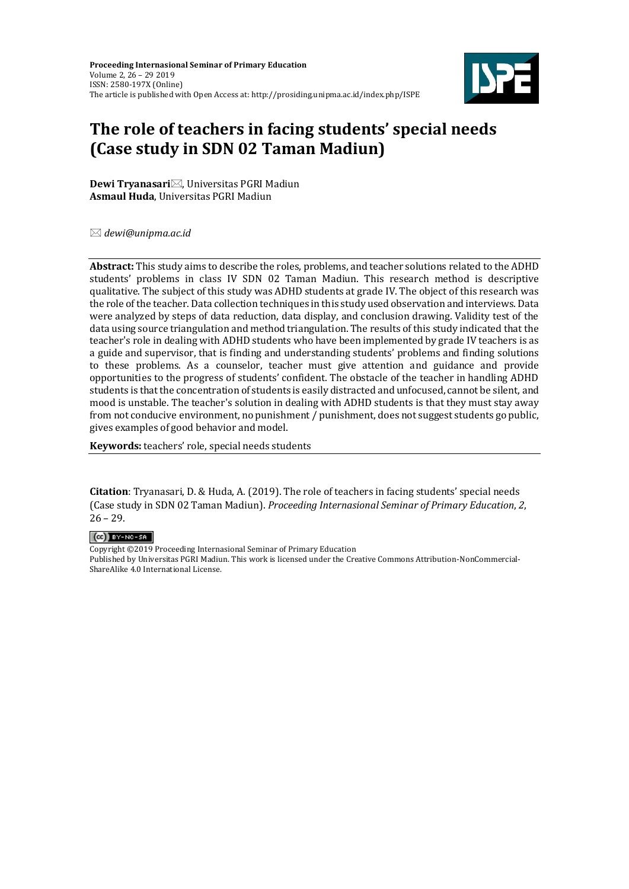**Proceeding Internasional Seminar of Primary Education** Volume 2, 26 – 29 2019 ISSN: 2580-197X (Online) The article is published with Open Access at: http://prosiding.unipma.ac.id/index.php/ISPE



# **The role of teachers in facing students' special needs (Case study in SDN 02 Taman Madiun)**

**Dewi Tryanasari**⊠, Universitas PGRI Madiun **Asmaul Huda**, Universitas PGRI Madiun

*dewi@unipma.ac.id*

**Abstract:** This study aims to describe the roles, problems, and teacher solutions related to the ADHD students' problems in class IV SDN 02 Taman Madiun. This research method is descriptive qualitative. The subject of this study was ADHD students at grade IV. The object of this research was the role of the teacher. Data collection techniques in this study used observation and interviews. Data were analyzed by steps of data reduction, data display, and conclusion drawing. Validity test of the data using source triangulation and method triangulation. The results of this study indicated that the teacher's role in dealing with ADHD students who have been implemented by grade IV teachers is as a guide and supervisor, that is finding and understanding students' problems and finding solutions to these problems. As a counselor, teacher must give attention and guidance and provide opportunities to the progress of students' confident. The obstacle of the teacher in handling ADHD students is that the concentration of students is easily distracted and unfocused, cannot be silent, and mood is unstable. The teacher's solution in dealing with ADHD students is that they must stay away from not conducive environment, no punishment / punishment, does not suggest students go public, gives examples of good behavior and model.

**Keywords:** teachers' role, special needs students

**Citation**: Tryanasari, D. & Huda, A. (2019). The role of teachers in facing students' special needs (Case study in SDN 02 Taman Madiun). *Proceeding Internasional Seminar of Primary Education*, *2*,  $26 - 29.$ 

#### $(G)$  BY-NC-SA

Copyright ©2019 Proceeding Internasional Seminar of Primary Education Published by Universitas PGRI Madiun. This work is licensed under the Creative Commons Attribution-NonCommercial-ShareAlike 4.0 International License.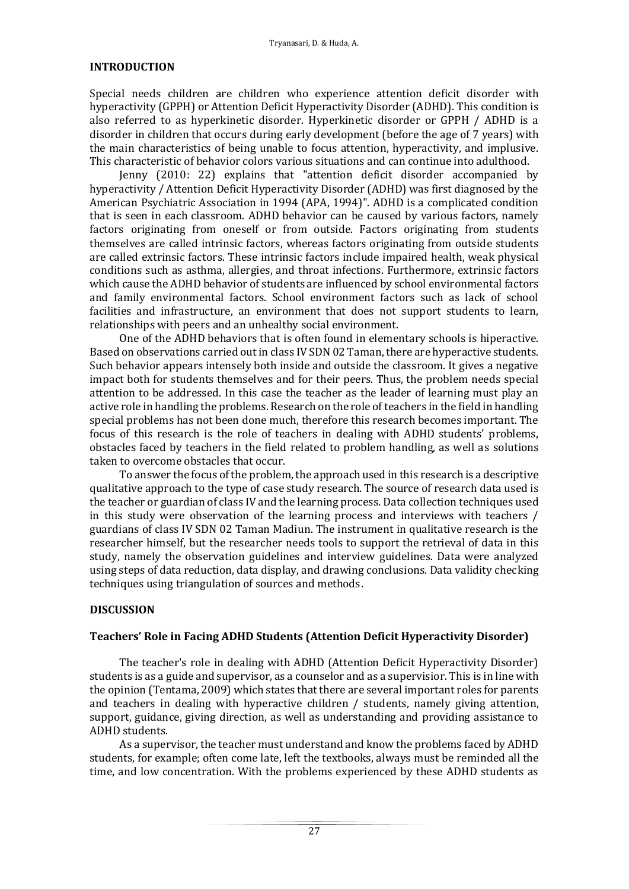## **INTRODUCTION**

Special needs children are children who experience attention deficit disorder with hyperactivity (GPPH) or Attention Deficit Hyperactivity Disorder (ADHD). This condition is also referred to as hyperkinetic disorder. Hyperkinetic disorder or GPPH / ADHD is a disorder in children that occurs during early development (before the age of 7 years) with the main characteristics of being unable to focus attention, hyperactivity, and implusive. This characteristic of behavior colors various situations and can continue into adulthood.

Jenny (2010: 22) explains that "attention deficit disorder accompanied by hyperactivity / Attention Deficit Hyperactivity Disorder (ADHD) was first diagnosed by the American Psychiatric Association in 1994 (APA, 1994)". ADHD is a complicated condition that is seen in each classroom. ADHD behavior can be caused by various factors, namely factors originating from oneself or from outside. Factors originating from students themselves are called intrinsic factors, whereas factors originating from outside students are called extrinsic factors. These intrinsic factors include impaired health, weak physical conditions such as asthma, allergies, and throat infections. Furthermore, extrinsic factors which cause the ADHD behavior of students are influenced by school environmental factors and family environmental factors. School environment factors such as lack of school facilities and infrastructure, an environment that does not support students to learn, relationships with peers and an unhealthy social environment.

One of the ADHD behaviors that is often found in elementary schools is hiperactive. Based on observations carried out in class IV SDN 02 Taman, there are hyperactive students. Such behavior appears intensely both inside and outside the classroom. It gives a negative impact both for students themselves and for their peers. Thus, the problem needs special attention to be addressed. In this case the teacher as the leader of learning must play an active role in handling the problems. Research on the role of teachers in the field in handling special problems has not been done much, therefore this research becomes important. The focus of this research is the role of teachers in dealing with ADHD students' problems, obstacles faced by teachers in the field related to problem handling, as well as solutions taken to overcome obstacles that occur.

To answer the focus of the problem, the approach used in this research is a descriptive qualitative approach to the type of case study research. The source of research data used is the teacher or guardian of class IV and the learning process. Data collection techniques used in this study were observation of the learning process and interviews with teachers / guardians of class IV SDN 02 Taman Madiun. The instrument in qualitative research is the researcher himself, but the researcher needs tools to support the retrieval of data in this study, namely the observation guidelines and interview guidelines. Data were analyzed using steps of data reduction, data display, and drawing conclusions. Data validity checking techniques using triangulation of sources and methods.

# **DISCUSSION**

# **Teachers' Role in Facing ADHD Students (Attention Deficit Hyperactivity Disorder)**

The teacher's role in dealing with ADHD (Attention Deficit Hyperactivity Disorder) students is as a guide and supervisor, as a counselor and as a supervisior. This is in line with the opinion (Tentama, 2009) which states that there are several important roles for parents and teachers in dealing with hyperactive children / students, namely giving attention, support, guidance, giving direction, as well as understanding and providing assistance to ADHD students.

As a supervisor, the teacher must understand and know the problems faced by ADHD students, for example; often come late, left the textbooks, always must be reminded all the time, and low concentration. With the problems experienced by these ADHD students as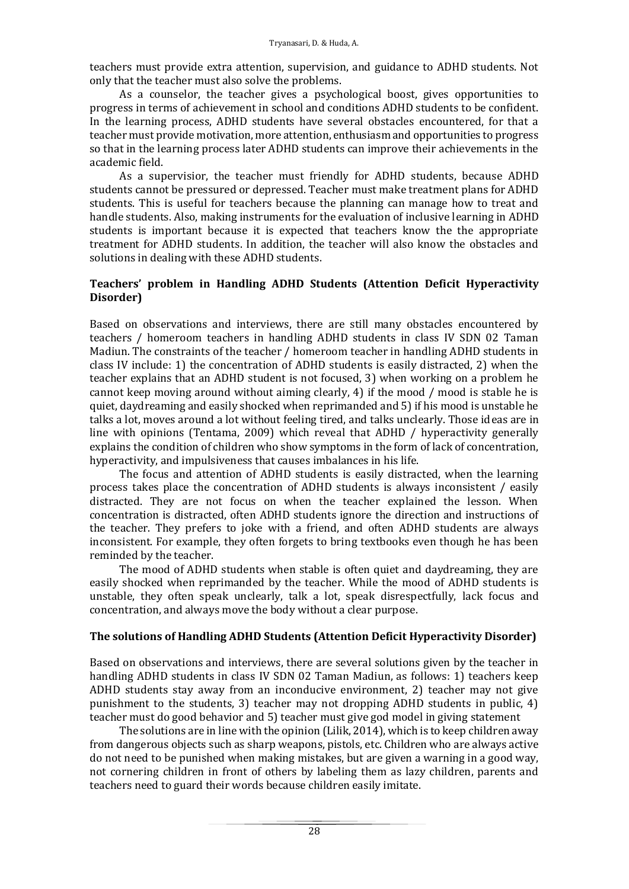teachers must provide extra attention, supervision, and guidance to ADHD students. Not only that the teacher must also solve the problems.

As a counselor, the teacher gives a psychological boost, gives opportunities to progress in terms of achievement in school and conditions ADHD students to be confident. In the learning process, ADHD students have several obstacles encountered, for that a teacher must provide motivation, more attention, enthusiasm and opportunities to progress so that in the learning process later ADHD students can improve their achievements in the academic field.

As a supervisior, the teacher must friendly for ADHD students, because ADHD students cannot be pressured or depressed. Teacher must make treatment plans for ADHD students. This is useful for teachers because the planning can manage how to treat and handle students. Also, making instruments for the evaluation of inclusive learning in ADHD students is important because it is expected that teachers know the the appropriate treatment for ADHD students. In addition, the teacher will also know the obstacles and solutions in dealing with these ADHD students.

# **Teachers' problem in Handling ADHD Students (Attention Deficit Hyperactivity Disorder)**

Based on observations and interviews, there are still many obstacles encountered by teachers / homeroom teachers in handling ADHD students in class IV SDN 02 Taman Madiun. The constraints of the teacher / homeroom teacher in handling ADHD students in class IV include: 1) the concentration of ADHD students is easily distracted, 2) when the teacher explains that an ADHD student is not focused, 3) when working on a problem he cannot keep moving around without aiming clearly, 4) if the mood / mood is stable he is quiet, daydreaming and easily shocked when reprimanded and 5) if his mood is unstable he talks a lot, moves around a lot without feeling tired, and talks unclearly. Those ideas are in line with opinions (Tentama, 2009) which reveal that ADHD / hyperactivity generally explains the condition of children who show symptoms in the form of lack of concentration, hyperactivity, and impulsiveness that causes imbalances in his life.

The focus and attention of ADHD students is easily distracted, when the learning process takes place the concentration of ADHD students is always inconsistent / easily distracted. They are not focus on when the teacher explained the lesson. When concentration is distracted, often ADHD students ignore the direction and instructions of the teacher. They prefers to joke with a friend, and often ADHD students are always inconsistent. For example, they often forgets to bring textbooks even though he has been reminded by the teacher.

The mood of ADHD students when stable is often quiet and daydreaming, they are easily shocked when reprimanded by the teacher. While the mood of ADHD students is unstable, they often speak unclearly, talk a lot, speak disrespectfully, lack focus and concentration, and always move the body without a clear purpose.

## **The solutions of Handling ADHD Students (Attention Deficit Hyperactivity Disorder)**

Based on observations and interviews, there are several solutions given by the teacher in handling ADHD students in class IV SDN 02 Taman Madiun, as follows: 1) teachers keep ADHD students stay away from an inconducive environment, 2) teacher may not give punishment to the students, 3) teacher may not dropping ADHD students in public, 4) teacher must do good behavior and 5) teacher must give god model in giving statement

The solutions are in line with the opinion (Lilik, 2014), which is to keep children away from dangerous objects such as sharp weapons, pistols, etc. Children who are always active do not need to be punished when making mistakes, but are given a warning in a good way, not cornering children in front of others by labeling them as lazy children, parents and teachers need to guard their words because children easily imitate.